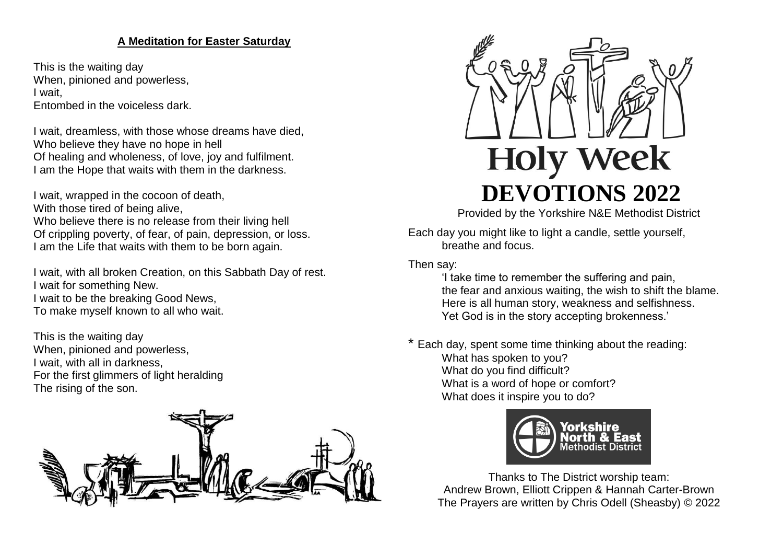# **A Meditation for Easter Saturday**

This is the waiting day When, pinioned and powerless, I wait, Entombed in the voiceless dark.

I wait, dreamless, with those whose dreams have died, Who believe they have no hope in hell Of healing and wholeness, of love, joy and fulfilment. I am the Hope that waits with them in the darkness.

I wait, wrapped in the cocoon of death, With those tired of being alive, Who believe there is no release from their living hell Of crippling poverty, of fear, of pain, depression, or loss. I am the Life that waits with them to be born again.

I wait, with all broken Creation, on this Sabbath Day of rest. I wait for something New. I wait to be the breaking Good News, To make myself known to all who wait.

This is the waiting day When, pinioned and powerless, I wait, with all in darkness, For the first glimmers of light heralding The rising of the son.





Provided by the Yorkshire N&E Methodist District

Each day you might like to light a candle, settle yourself, breathe and focus.

Then say:

'I take time to remember the suffering and pain, the fear and anxious waiting, the wish to shift the blame. Here is all human story, weakness and selfishness. Yet God is in the story accepting brokenness.'

\* Each day, spent some time thinking about the reading: What has spoken to you? What do you find difficult? What is a word of hope or comfort? What does it inspire you to do?



Thanks to The District worship team: Andrew Brown, Elliott Crippen & Hannah Carter-Brown The Prayers are written by Chris Odell (Sheasby) © 2022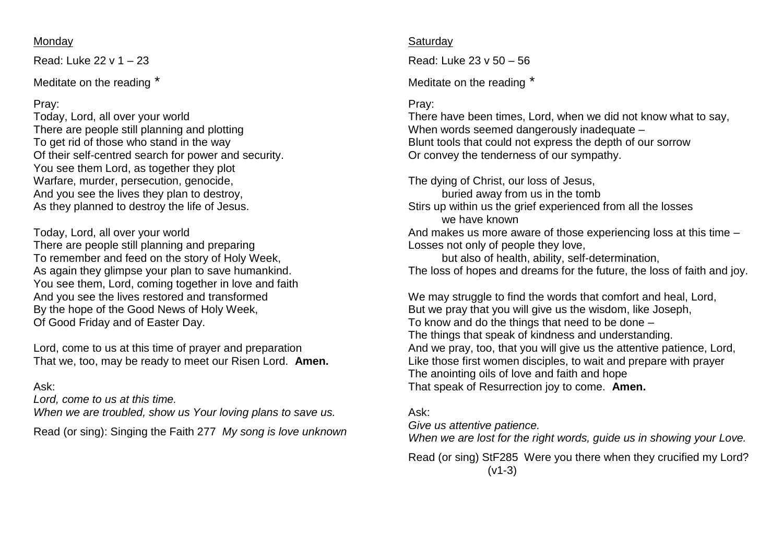#### Monday

Read: Luke 22 v 1 – 23

Meditate on the reading \*

### Pray:

Today, Lord, all over your world There are people still planning and plotting To get rid of those who stand in the way Of their self-centred search for power and security. You see them Lord, as together they plot Warfare, murder, persecution, genocide, And you see the lives they plan to destroy, As they planned to destroy the life of Jesus.

Today, Lord, all over your world There are people still planning and preparing To remember and feed on the story of Holy Week, As again they glimpse your plan to save humankind. You see them, Lord, coming together in love and faith And you see the lives restored and transformed By the hope of the Good News of Holy Week, Of Good Friday and of Easter Day.

Lord, come to us at this time of prayer and preparation That we, too, may be ready to meet our Risen Lord. **Amen.**

### Ask:

*Lord, come to us at this time.* 

*When we are troubled, show us Your loving plans to save us.*

Read (or sing): Singing the Faith 277 *My song is love unknown*

#### **Saturday**

Read: Luke 23 v 50 – 56

Meditate on the reading \*

### Pray:

There have been times, Lord, when we did not know what to say, When words seemed dangerously inadequate – Blunt tools that could not express the depth of our sorrow Or convey the tenderness of our sympathy.

The dying of Christ, our loss of Jesus, buried away from us in the tomb Stirs up within us the grief experienced from all the losses we have known And makes us more aware of those experiencing loss at this time – Losses not only of people they love, but also of health, ability, self-determination,

The loss of hopes and dreams for the future, the loss of faith and joy.

We may struggle to find the words that comfort and heal, Lord, But we pray that you will give us the wisdom, like Joseph, To know and do the things that need to be done – The things that speak of kindness and understanding. And we pray, too, that you will give us the attentive patience, Lord, Like those first women disciples, to wait and prepare with prayer The anointing oils of love and faith and hope That speak of Resurrection joy to come. **Amen.**

### Ask:

*Give us attentive patience.*

*When we are lost for the right words, guide us in showing your Love.*

Read (or sing) StF285 Were you there when they crucified my Lord? (v1-3)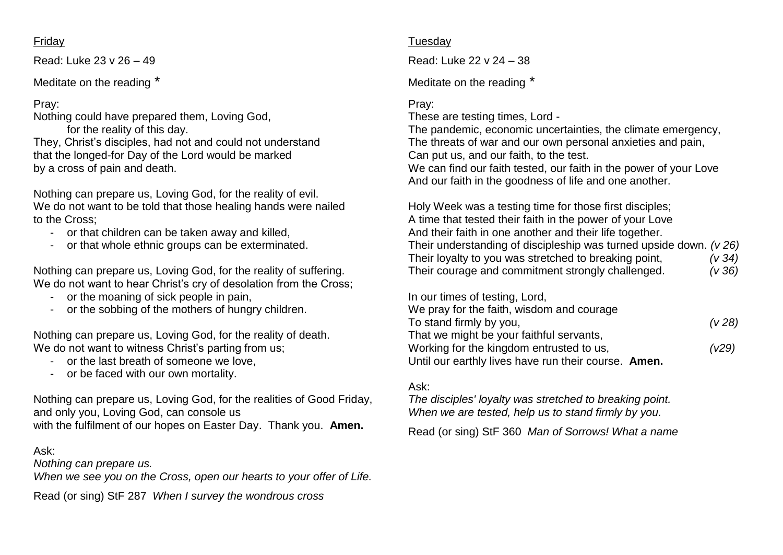#### Friday

Read: Luke 23 v 26 – 49

Meditate on the reading \*

### Pray:

Nothing could have prepared them, Loving God, for the reality of this day. They, Christ's disciples, had not and could not understand that the longed-for Day of the Lord would be marked by a cross of pain and death.

Nothing can prepare us, Loving God, for the reality of evil. We do not want to be told that those healing hands were nailed to the Cross;

- or that children can be taken away and killed,
- or that whole ethnic groups can be exterminated.

Nothing can prepare us, Loving God, for the reality of suffering. We do not want to hear Christ's cry of desolation from the Cross;

- or the moaning of sick people in pain,
- or the sobbing of the mothers of hungry children.

Nothing can prepare us, Loving God, for the reality of death. We do not want to witness Christ's parting from us;

- or the last breath of someone we love,
- or be faced with our own mortality.

Nothing can prepare us, Loving God, for the realities of Good Friday, and only you, Loving God, can console us with the fulfilment of our hopes on Easter Day. Thank you. **Amen.**

### Ask:

*Nothing can prepare us.*

*When we see you on the Cross, open our hearts to your offer of Life.*

Read (or sing) StF 287 *When I survey the wondrous cross*

### **Tuesday**

Read: Luke 22 v 24 – 38

Meditate on the reading \*

# Pray:

These are testing times, Lord -

The pandemic, economic uncertainties, the climate emergency, The threats of war and our own personal anxieties and pain, Can put us, and our faith, to the test. We can find our faith tested, our faith in the power of your Love

And our faith in the goodness of life and one another.

Holy Week was a testing time for those first disciples; A time that tested their faith in the power of your Love And their faith in one another and their life together. Their understanding of discipleship was turned upside down. *(v 26)* Their loyalty to you was stretched to breaking point, *(v 34)* Their courage and commitment strongly challenged. *(v 36)*

In our times of testing, Lord,

| We pray for the faith, wisdom and courage            |       |
|------------------------------------------------------|-------|
| To stand firmly by you,                              | (V28) |
| That we might be your faithful servants,             |       |
| Working for the kingdom entrusted to us,             | (V29) |
| Until our earthly lives have run their course. Amen. |       |

### Ask:

*The disciples' loyalty was stretched to breaking point. When we are tested, help us to stand firmly by you.*

Read (or sing) StF 360 *Man of Sorrows! What a name*